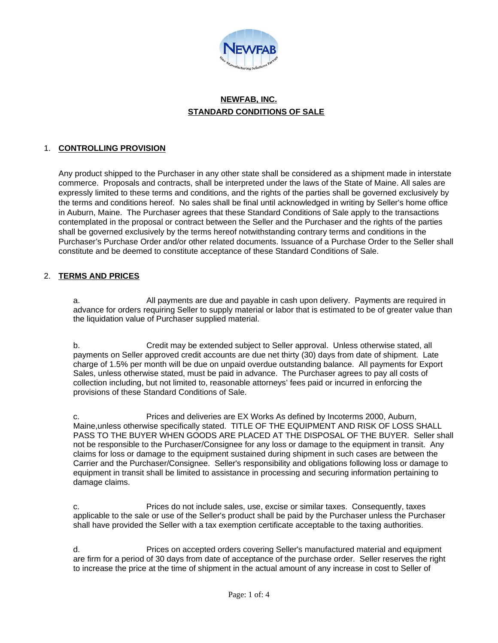

# **NEWFAB, INC. STANDARD CONDITIONS OF SALE**

### 1. **CONTROLLING PROVISION**

Any product shipped to the Purchaser in any other state shall be considered as a shipment made in interstate commerce. Proposals and contracts, shall be interpreted under the laws of the State of Maine. All sales are expressly limited to these terms and conditions, and the rights of the parties shall be governed exclusively by the terms and conditions hereof. No sales shall be final until acknowledged in writing by Seller's home office in Auburn, Maine. The Purchaser agrees that these Standard Conditions of Sale apply to the transactions contemplated in the proposal or contract between the Seller and the Purchaser and the rights of the parties shall be governed exclusively by the terms hereof notwithstanding contrary terms and conditions in the Purchaser's Purchase Order and/or other related documents. Issuance of a Purchase Order to the Seller shall constitute and be deemed to constitute acceptance of these Standard Conditions of Sale.

### 2. **TERMS AND PRICES**

a. All payments are due and payable in cash upon delivery. Payments are required in advance for orders requiring Seller to supply material or labor that is estimated to be of greater value than the liquidation value of Purchaser supplied material.

b. Credit may be extended subject to Seller approval. Unless otherwise stated, all payments on Seller approved credit accounts are due net thirty (30) days from date of shipment. Late charge of 1.5% per month will be due on unpaid overdue outstanding balance. All payments for Export Sales, unless otherwise stated, must be paid in advance. The Purchaser agrees to pay all costs of collection including, but not limited to, reasonable attorneys' fees paid or incurred in enforcing the provisions of these Standard Conditions of Sale.

c. Prices and deliveries are EX Works As defined by Incoterms 2000, Auburn, Maine,unless otherwise specifically stated. TITLE OF THE EQUIPMENT AND RISK OF LOSS SHALL PASS TO THE BUYER WHEN GOODS ARE PLACED AT THE DISPOSAL OF THE BUYER. Seller shall not be responsible to the Purchaser/Consignee for any loss or damage to the equipment in transit. Any claims for loss or damage to the equipment sustained during shipment in such cases are between the Carrier and the Purchaser/Consignee. Seller's responsibility and obligations following loss or damage to equipment in transit shall be limited to assistance in processing and securing information pertaining to damage claims.

c. Prices do not include sales, use, excise or similar taxes. Consequently, taxes applicable to the sale or use of the Seller's product shall be paid by the Purchaser unless the Purchaser shall have provided the Seller with a tax exemption certificate acceptable to the taxing authorities.

d. Prices on accepted orders covering Seller's manufactured material and equipment are firm for a period of 30 days from date of acceptance of the purchase order. Seller reserves the right to increase the price at the time of shipment in the actual amount of any increase in cost to Seller of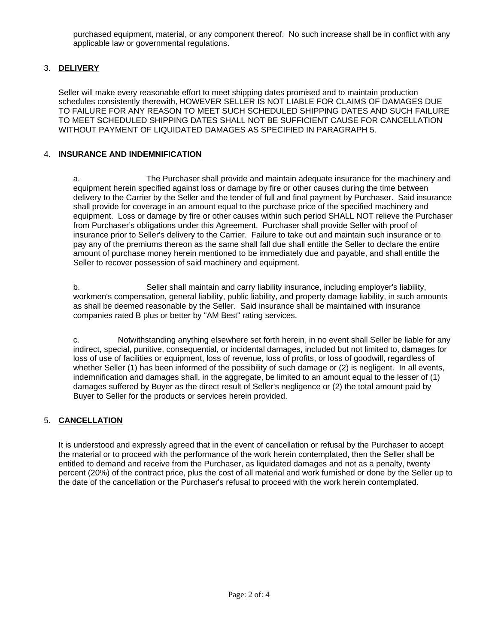purchased equipment, material, or any component thereof. No such increase shall be in conflict with any applicable law or governmental regulations.

# 3. **DELIVERY**

Seller will make every reasonable effort to meet shipping dates promised and to maintain production schedules consistently therewith, HOWEVER SELLER IS NOT LIABLE FOR CLAIMS OF DAMAGES DUE TO FAILURE FOR ANY REASON TO MEET SUCH SCHEDULED SHIPPING DATES AND SUCH FAILURE TO MEET SCHEDULED SHIPPING DATES SHALL NOT BE SUFFICIENT CAUSE FOR CANCELLATION WITHOUT PAYMENT OF LIQUIDATED DAMAGES AS SPECIFIED IN PARAGRAPH 5.

### 4. **INSURANCE AND INDEMNIFICATION**

a. The Purchaser shall provide and maintain adequate insurance for the machinery and equipment herein specified against loss or damage by fire or other causes during the time between delivery to the Carrier by the Seller and the tender of full and final payment by Purchaser. Said insurance shall provide for coverage in an amount equal to the purchase price of the specified machinery and equipment. Loss or damage by fire or other causes within such period SHALL NOT relieve the Purchaser from Purchaser's obligations under this Agreement. Purchaser shall provide Seller with proof of insurance prior to Seller's delivery to the Carrier. Failure to take out and maintain such insurance or to pay any of the premiums thereon as the same shall fall due shall entitle the Seller to declare the entire amount of purchase money herein mentioned to be immediately due and payable, and shall entitle the Seller to recover possession of said machinery and equipment.

b. Seller shall maintain and carry liability insurance, including employer's liability, workmen's compensation, general liability, public liability, and property damage liability, in such amounts as shall be deemed reasonable by the Seller. Said insurance shall be maintained with insurance companies rated B plus or better by "AM Best" rating services.

c. Notwithstanding anything elsewhere set forth herein, in no event shall Seller be liable for any indirect, special, punitive, consequential, or incidental damages, included but not limited to, damages for loss of use of facilities or equipment, loss of revenue, loss of profits, or loss of goodwill, regardless of whether Seller (1) has been informed of the possibility of such damage or (2) is negligent. In all events, indemnification and damages shall, in the aggregate, be limited to an amount equal to the lesser of (1) damages suffered by Buyer as the direct result of Seller's negligence or (2) the total amount paid by Buyer to Seller for the products or services herein provided.

# 5. **CANCELLATION**

It is understood and expressly agreed that in the event of cancellation or refusal by the Purchaser to accept the material or to proceed with the performance of the work herein contemplated, then the Seller shall be entitled to demand and receive from the Purchaser, as liquidated damages and not as a penalty, twenty percent (20%) of the contract price, plus the cost of all material and work furnished or done by the Seller up to the date of the cancellation or the Purchaser's refusal to proceed with the work herein contemplated.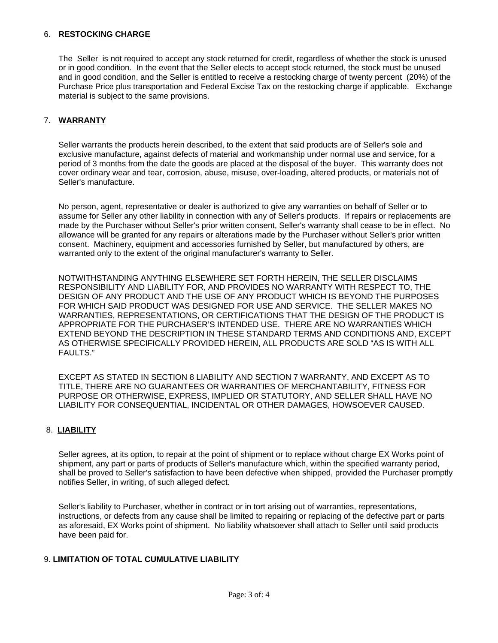### 6. **RESTOCKING CHARGE**

The Seller is not required to accept any stock returned for credit, regardless of whether the stock is unused or in good condition. In the event that the Seller elects to accept stock returned, the stock must be unused and in good condition, and the Seller is entitled to receive a restocking charge of twenty percent (20%) of the Purchase Price plus transportation and Federal Excise Tax on the restocking charge if applicable. Exchange material is subject to the same provisions.

### 7. **WARRANTY**

Seller warrants the products herein described, to the extent that said products are of Seller's sole and exclusive manufacture, against defects of material and workmanship under normal use and service, for a period of 3 months from the date the goods are placed at the disposal of the buyer. This warranty does not cover ordinary wear and tear, corrosion, abuse, misuse, over-loading, altered products, or materials not of Seller's manufacture.

No person, agent, representative or dealer is authorized to give any warranties on behalf of Seller or to assume for Seller any other liability in connection with any of Seller's products. If repairs or replacements are made by the Purchaser without Seller's prior written consent, Seller's warranty shall cease to be in effect. No allowance will be granted for any repairs or alterations made by the Purchaser without Seller's prior written consent. Machinery, equipment and accessories furnished by Seller, but manufactured by others, are warranted only to the extent of the original manufacturer's warranty to Seller.

NOTWITHSTANDING ANYTHING ELSEWHERE SET FORTH HEREIN, THE SELLER DISCLAIMS RESPONSIBILITY AND LIABILITY FOR, AND PROVIDES NO WARRANTY WITH RESPECT TO, THE DESIGN OF ANY PRODUCT AND THE USE OF ANY PRODUCT WHICH IS BEYOND THE PURPOSES FOR WHICH SAID PRODUCT WAS DESIGNED FOR USE AND SERVICE. THE SELLER MAKES NO WARRANTIES, REPRESENTATIONS, OR CERTIFICATIONS THAT THE DESIGN OF THE PRODUCT IS APPROPRIATE FOR THE PURCHASER'S INTENDED USE. THERE ARE NO WARRANTIES WHICH EXTEND BEYOND THE DESCRIPTION IN THESE STANDARD TERMS AND CONDITIONS AND, EXCEPT AS OTHERWISE SPECIFICALLY PROVIDED HEREIN, ALL PRODUCTS ARE SOLD "AS IS WITH ALL FAULTS."

EXCEPT AS STATED IN SECTION 8 LIABILITY AND SECTION 7 WARRANTY, AND EXCEPT AS TO TITLE, THERE ARE NO GUARANTEES OR WARRANTIES OF MERCHANTABILITY, FITNESS FOR PURPOSE OR OTHERWISE, EXPRESS, IMPLIED OR STATUTORY, AND SELLER SHALL HAVE NO LIABILITY FOR CONSEQUENTIAL, INCIDENTAL OR OTHER DAMAGES, HOWSOEVER CAUSED.

### 8. **LIABILITY**

Seller agrees, at its option, to repair at the point of shipment or to replace without charge EX Works point of shipment, any part or parts of products of Seller's manufacture which, within the specified warranty period, shall be proved to Seller's satisfaction to have been defective when shipped, provided the Purchaser promptly notifies Seller, in writing, of such alleged defect.

Seller's liability to Purchaser, whether in contract or in tort arising out of warranties, representations, instructions, or defects from any cause shall be limited to repairing or replacing of the defective part or parts as aforesaid, EX Works point of shipment. No liability whatsoever shall attach to Seller until said products have been paid for.

### 9. **LIMITATION OF TOTAL CUMULATIVE LIABILITY**